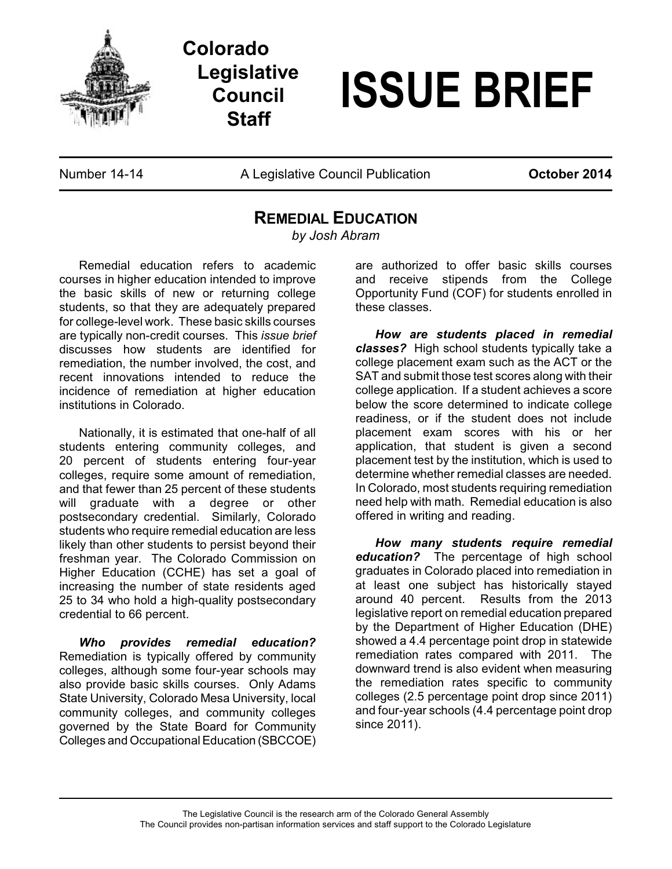

**Colorado Legislative Council Staff**

## **ISSUE BRIEF**

Number 14-14 **A Legislative Council Publication October 2014** 

## **REMEDIAL EDUCATION**

*by Josh Abram*

Remedial education refers to academic courses in higher education intended to improve the basic skills of new or returning college students, so that they are adequately prepared for college-level work. These basic skills courses are typically non-credit courses. This *issue brief* discusses how students are identified for remediation, the number involved, the cost, and recent innovations intended to reduce the incidence of remediation at higher education institutions in Colorado.

Nationally, it is estimated that one-half of all students entering community colleges, and 20 percent of students entering four-year colleges, require some amount of remediation, and that fewer than 25 percent of these students will graduate with a degree or other postsecondary credential. Similarly, Colorado students who require remedial education are less likely than other students to persist beyond their freshman year. The Colorado Commission on Higher Education (CCHE) has set a goal of increasing the number of state residents aged 25 to 34 who hold a high-quality postsecondary credential to 66 percent.

*Who provides remedial education?* Remediation is typically offered by community colleges, although some four-year schools may also provide basic skills courses. Only Adams State University, Colorado Mesa University, local community colleges, and community colleges governed by the State Board for Community Colleges and Occupational Education (SBCCOE) are authorized to offer basic skills courses and receive stipends from the College Opportunity Fund (COF) for students enrolled in these classes.

*How are students placed in remedial classes?* High school students typically take a college placement exam such as the ACT or the SAT and submit those test scores along with their college application. If a student achieves a score below the score determined to indicate college readiness, or if the student does not include placement exam scores with his or her application, that student is given a second placement test by the institution, which is used to determine whether remedial classes are needed. In Colorado, most students requiring remediation need help with math. Remedial education is also offered in writing and reading.

*How many students require remedial education?* The percentage of high school graduates in Colorado placed into remediation in at least one subject has historically stayed around 40 percent. Results from the 2013 legislative report on remedial education prepared by the Department of Higher Education (DHE) showed a 4.4 percentage point drop in statewide remediation rates compared with 2011. The downward trend is also evident when measuring the remediation rates specific to community colleges (2.5 percentage point drop since 2011) and four-year schools (4.4 percentage point drop since 2011).